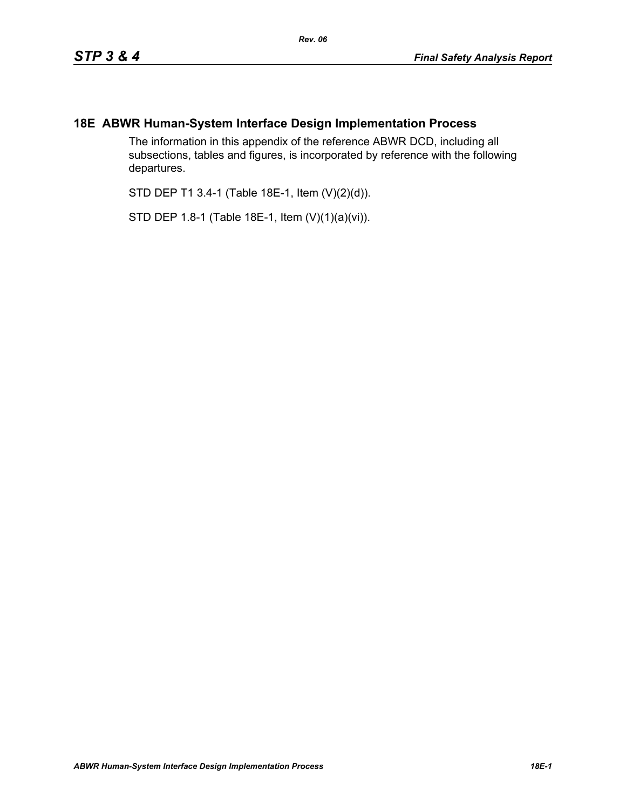## **18E ABWR Human-System Interface Design Implementation Process**

The information in this appendix of the reference ABWR DCD, including all subsections, tables and figures, is incorporated by reference with the following departures.

STD DEP T1 3.4-1 (Table 18E-1, Item (V)(2)(d)).

STD DEP 1.8-1 (Table 18E-1, Item (V)(1)(a)(vi)).